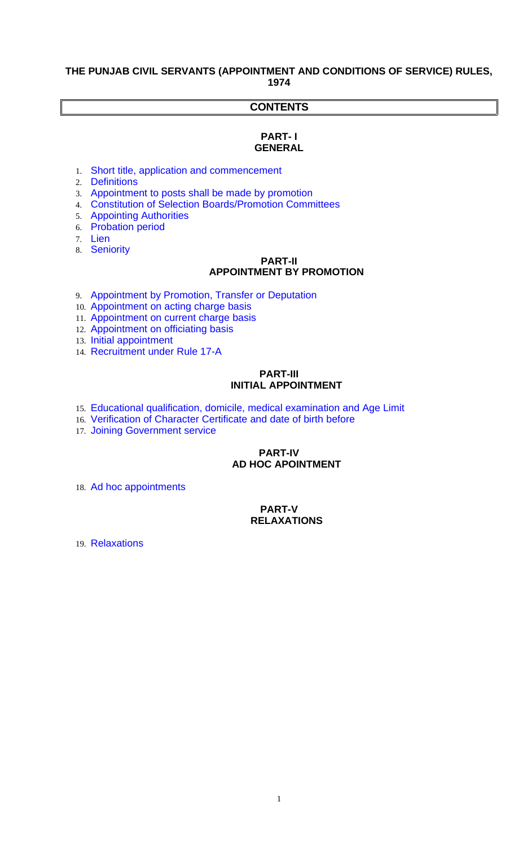### **THE PUNJAB CIVIL SERVANTS (APPOINTMENT AND CONDITIONS OF SERVICE) RULES, 1974**

# **CONTENTS**

#### **PART- I GENERAL**

- 1. [Short title, application and commencement](#page-1-2)
- 2. [Definitions](#page-1-1)
- 3. [Appointment to posts shall be made by promotion](#page-1-0)
- 4. [Constitution of Selection Boards/Promotion Committees](#page-2-1)
- 5. [Appointing Authorities](#page-2-0)
- 6. [Probation period](#page-3-2)
- 7. [Lien](#page-3-1)
- 8. [Seniority](#page-3-0)

## **PART-II APPOINTMENT BY PROMOTION**

- 9. [Appointment by Promotion, Transfer or Deputation](#page-4-1)
- 10. [Appointment on acting charge basis](#page-4-0)
- 11. [Appointment on current charge basis](#page-5-1)
- 12. [Appointment on officiating basis](#page-5-0)
- 13. [Initial appointment](#page-6-1)
- 14. [Recruitment under Rule 17-A](#page-6-0)

#### **PART-III INITIAL APPOINTMENT**

- 15. [Educational qualification, domicile, medical examination and Age Limit](#page-7-2)
- 16. [Verification of Character Certificate and date of birth before](#page-7-1)
- 17. [Joining Government service](#page-7-0)

## **PART-IV AD HOC APOINTMENT**

18. [Ad hoc appointments](#page-8-0)

# **PART-V RELAXATIONS**

<span id="page-0-0"></span>19. [Relaxations](#page-0-0)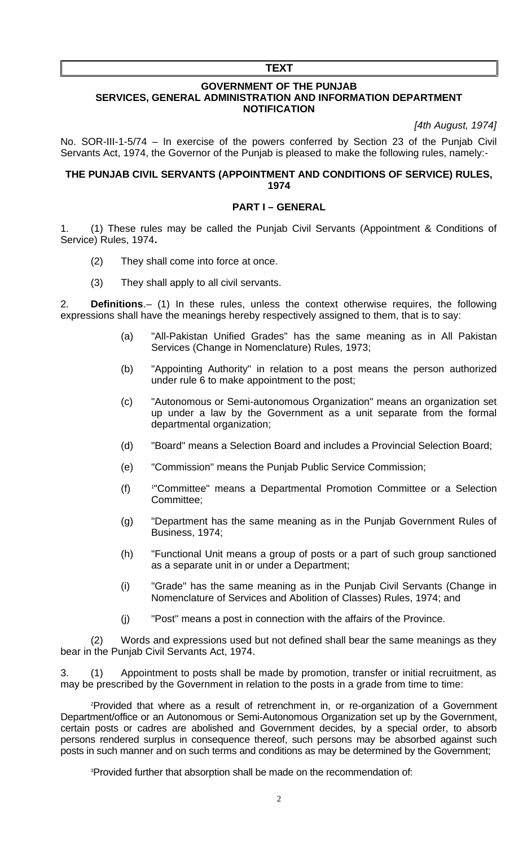#### **TEXT**

#### **GOVERNMENT OF THE PUNJAB SERVICES, GENERAL ADMINISTRATION AND INFORMATION DEPARTMENT NOTIFICATION**

*[4th August, 1974]*

No. SOR-III-1-5/74 – In exercise of the powers conferred by Section 23 of the Punjab Civil Servants Act, 1974, the Governor of the Punjab is pleased to make the following rules, namely:-

### **THE PUNJAB CIVIL SERVANTS (APPOINTMENT AND CONDITIONS OF SERVICE) RULES, 1974**

### **PART I – GENERAL**

<span id="page-1-2"></span>1. (1) These rules may be called the Punjab Civil Servants (Appointment & Conditions of Service) Rules, 1974**.**

- (2) They shall come into force at once.
- <span id="page-1-1"></span>(3) They shall apply to all civil servants.

2. **Definitions**.– (1) In these rules, unless the context otherwise requires, the following expressions shall have the meanings hereby respectively assigned to them, that is to say:

- (a) "All-Pakistan Unified Grades" has the same meaning as in All Pakistan Services (Change in Nomenclature) Rules, 1973;
- (b) "Appointing Authority" in relation to a post means the person authorized under rule 6 to make appointment to the post;
- (c) "Autonomous or Semi-autonomous Organization" means an organization set up under a law by the Government as a unit separate from the formal departmental organization;
- (d) "Board" means a Selection Board and includes a Provincial Selection Board;
- (e) "Commission" means the Punjab Public Service Commission;
- $(f)$ "Committee" means a Departmental Promotion Committee or a Selection Committee;
- (g) "Department has the same meaning as in the Punjab Government Rules of Business, 1974;
- (h) "Functional Unit means a group of posts or a part of such group sanctioned as a separate unit in or under a Department;
- (i) "Grade" has the same meaning as in the Punjab Civil Servants (Change in Nomenclature of Services and Abolition of Classes) Rules, 1974; and
- (j) "Post" means a post in connection with the affairs of the Province.

(2) Words and expressions used but not defined shall bear the same meanings as they bear in the Punjab Civil Servants Act, 1974.

<span id="page-1-0"></span>3. (1) Appointment to posts shall be made by promotion, transfer or initial recruitment, as may be prescribed by the Government in relation to the posts in a grade from time to time:

[2](#page-9-1)Provided that where as a result of retrenchment in, or re-organization of a Government Department/office or an Autonomous or Semi-Autonomous Organization set up by the Government, certain posts or cadres are abolished and Government decides, by a special order, to absorb persons rendered surplus in consequence thereof, such persons may be absorbed against such posts in such manner and on such terms and conditions as may be determined by the Government;

<sup>[3](#page-9-2)</sup>Provided further that absorption shall be made on the recommendation of: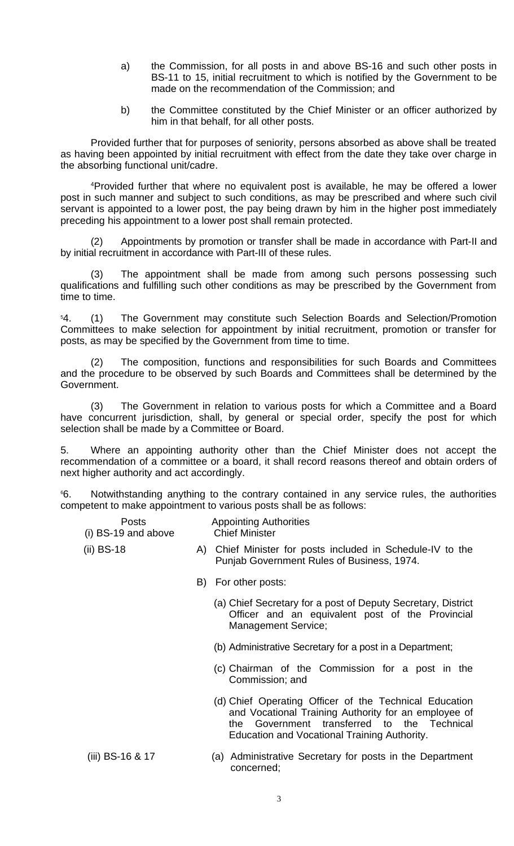- a) the Commission, for all posts in and above BS-16 and such other posts in BS-11 to 15, initial recruitment to which is notified by the Government to be made on the recommendation of the Commission; and
- b) the Committee constituted by the Chief Minister or an officer authorized by him in that behalf, for all other posts.

Provided further that for purposes of seniority, persons absorbed as above shall be treated as having been appointed by initial recruitment with effect from the date they take over charge in the absorbing functional unit/cadre.

[4](#page-9-3)Provided further that where no equivalent post is available, he may be offered a lower post in such manner and subject to such conditions, as may be prescribed and where such civil servant is appointed to a lower post, the pay being drawn by him in the higher post immediately preceding his appointment to a lower post shall remain protected.

Appointments by promotion or transfer shall be made in accordance with Part-II and by initial recruitment in accordance with Part-III of these rules.

(3) The appointment shall be made from among such persons possessing such qualifications and fulfilling such other conditions as may be prescribed by the Government from time to time.

<span id="page-2-1"></span>[5](#page-9-4)4. (1) The Government may constitute such Selection Boards and Selection/Promotion Committees to make selection for appointment by initial recruitment, promotion or transfer for posts, as may be specified by the Government from time to time.

(2) The composition, functions and responsibilities for such Boards and Committees and the procedure to be observed by such Boards and Committees shall be determined by the Government.

(3) The Government in relation to various posts for which a Committee and a Board have concurrent jurisdiction, shall, by general or special order, specify the post for which selection shall be made by a Committee or Board.

<span id="page-2-0"></span>5. Where an appointing authority other than the Chief Minister does not accept the recommendation of a committee or a board, it shall record reasons thereof and obtain orders of next higher authority and act accordingly.

[6](#page-9-5)6. Notwithstanding anything to the contrary contained in any service rules, the authorities competent to make appointment to various posts shall be as follows:

| Posts                 | <b>Appointing Authorities</b> |
|-----------------------|-------------------------------|
| $(i)$ BS-19 and above | <b>Chief Minister</b>         |

- (ii) BS-18 A) Chief Minister for posts included in Schedule-IV to the Punjab Government Rules of Business, 1974.
	- B) For other posts:
		- (a) Chief Secretary for a post of Deputy Secretary, District Officer and an equivalent post of the Provincial Management Service;
		- (b) Administrative Secretary for a post in a Department;
		- (c) Chairman of the Commission for a post in the Commission; and
		- (d) Chief Operating Officer of the Technical Education and Vocational Training Authority for an employee of the Government transferred to the Technical the Government transferred to the Education and Vocational Training Authority.
- (iii) BS-16 & 17 (a) Administrative Secretary for posts in the Department concerned;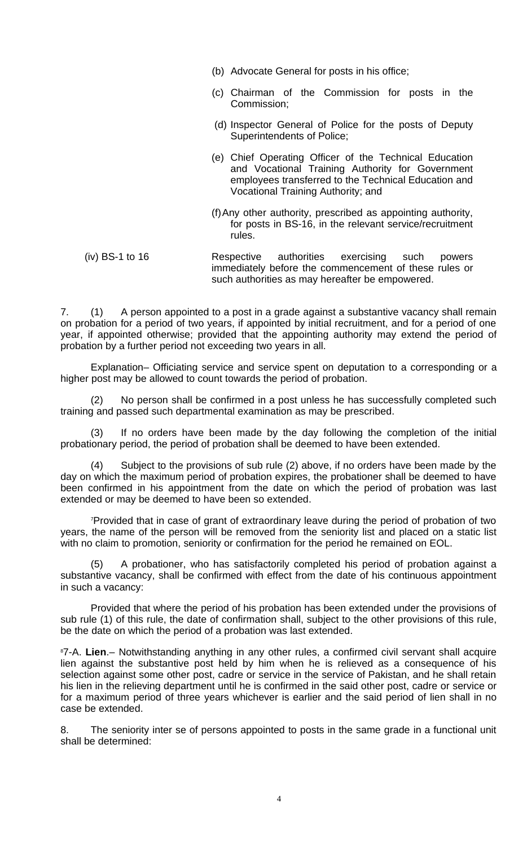- (b) Advocate General for posts in his office;
- (c) Chairman of the Commission for posts in the Commission;
- (d) Inspector General of Police for the posts of Deputy Superintendents of Police;
- (e) Chief Operating Officer of the Technical Education and Vocational Training Authority for Government employees transferred to the Technical Education and Vocational Training Authority; and
- (f)Any other authority, prescribed as appointing authority, for posts in BS-16, in the relevant service/recruitment rules.
- (iv) BS-1 to 16 Respective authorities exercising such powers immediately before the commencement of these rules or such authorities as may hereafter be empowered.

<span id="page-3-2"></span>7. (1) A person appointed to a post in a grade against a substantive vacancy shall remain on probation for a period of two years, if appointed by initial recruitment, and for a period of one year, if appointed otherwise; provided that the appointing authority may extend the period of probation by a further period not exceeding two years in all.

Explanation– Officiating service and service spent on deputation to a corresponding or a higher post may be allowed to count towards the period of probation.

(2) No person shall be confirmed in a post unless he has successfully completed such training and passed such departmental examination as may be prescribed.

(3) If no orders have been made by the day following the completion of the initial probationary period, the period of probation shall be deemed to have been extended.

(4) Subject to the provisions of sub rule (2) above, if no orders have been made by the day on which the maximum period of probation expires, the probationer shall be deemed to have been confirmed in his appointment from the date on which the period of probation was last extended or may be deemed to have been so extended.

[7](#page-9-6)Provided that in case of grant of extraordinary leave during the period of probation of two years, the name of the person will be removed from the seniority list and placed on a static list with no claim to promotion, seniority or confirmation for the period he remained on EOL.

(5) A probationer, who has satisfactorily completed his period of probation against a substantive vacancy, shall be confirmed with effect from the date of his continuous appointment in such a vacancy:

Provided that where the period of his probation has been extended under the provisions of sub rule (1) of this rule, the date of confirmation shall, subject to the other provisions of this rule, be the date on which the period of a probation was last extended.

<span id="page-3-1"></span>[8](#page-9-7)7-A. **Lien**.– Notwithstanding anything in any other rules, a confirmed civil servant shall acquire lien against the substantive post held by him when he is relieved as a consequence of his selection against some other post, cadre or service in the service of Pakistan, and he shall retain his lien in the relieving department until he is confirmed in the said other post, cadre or service or for a maximum period of three years whichever is earlier and the said period of lien shall in no case be extended.

<span id="page-3-0"></span>8. The seniority inter se of persons appointed to posts in the same grade in a functional unit shall be determined: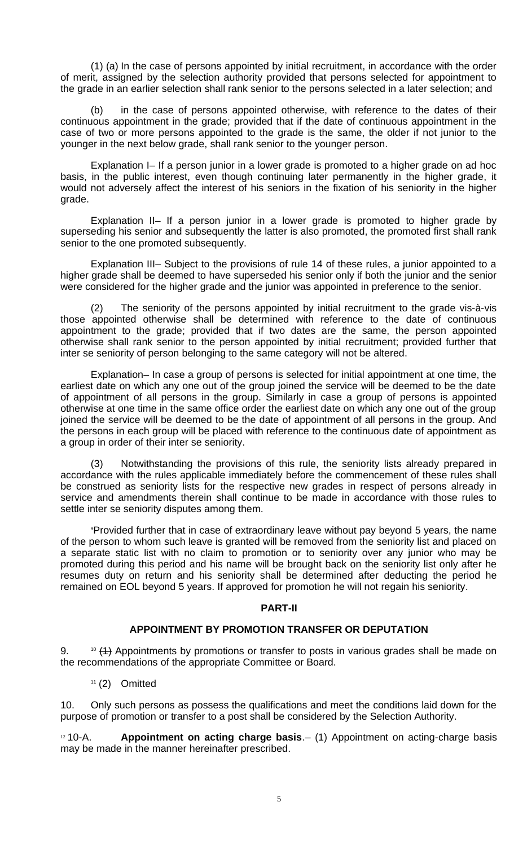(1) (a) In the case of persons appointed by initial recruitment, in accordance with the order of merit, assigned by the selection authority provided that persons selected for appointment to the grade in an earlier selection shall rank senior to the persons selected in a later selection; and

(b) in the case of persons appointed otherwise, with reference to the dates of their continuous appointment in the grade; provided that if the date of continuous appointment in the case of two or more persons appointed to the grade is the same, the older if not junior to the younger in the next below grade, shall rank senior to the younger person.

Explanation I– If a person junior in a lower grade is promoted to a higher grade on ad hoc basis, in the public interest, even though continuing later permanently in the higher grade, it would not adversely affect the interest of his seniors in the fixation of his seniority in the higher grade.

Explanation II– If a person junior in a lower grade is promoted to higher grade by superseding his senior and subsequently the latter is also promoted, the promoted first shall rank senior to the one promoted subsequently.

Explanation III– Subject to the provisions of rule 14 of these rules, a junior appointed to a higher grade shall be deemed to have superseded his senior only if both the junior and the senior were considered for the higher grade and the junior was appointed in preference to the senior.

(2) The seniority of the persons appointed by initial recruitment to the grade vis-à-vis those appointed otherwise shall be determined with reference to the date of continuous appointment to the grade; provided that if two dates are the same, the person appointed otherwise shall rank senior to the person appointed by initial recruitment; provided further that inter se seniority of person belonging to the same category will not be altered.

Explanation– In case a group of persons is selected for initial appointment at one time, the earliest date on which any one out of the group joined the service will be deemed to be the date of appointment of all persons in the group. Similarly in case a group of persons is appointed otherwise at one time in the same office order the earliest date on which any one out of the group joined the service will be deemed to be the date of appointment of all persons in the group. And the persons in each group will be placed with reference to the continuous date of appointment as a group in order of their inter se seniority.

(3) Notwithstanding the provisions of this rule, the seniority lists already prepared in accordance with the rules applicable immediately before the commencement of these rules shall be construed as seniority lists for the respective new grades in respect of persons already in service and amendments therein shall continue to be made in accordance with those rules to settle inter se seniority disputes among them.

[9](#page-9-8)Provided further that in case of extraordinary leave without pay beyond 5 years, the name of the person to whom such leave is granted will be removed from the seniority list and placed on a separate static list with no claim to promotion or to seniority over any junior who may be promoted during this period and his name will be brought back on the seniority list only after he resumes duty on return and his seniority shall be determined after deducting the period he remained on EOL beyond 5 years. If approved for promotion he will not regain his seniority.

### **PART-II**

### **APPOINTMENT BY PROMOTION TRANSFER OR DEPUTATION**

<span id="page-4-1"></span>9.  $10 \frac{(1)}{10}$  $10 \frac{(1)}{10}$  Appointments by promotions or transfer to posts in various grades shall be made on the recommendations of the appropriate Committee or Board.

 $11$  (2) Omitted

10. Only such persons as possess the qualifications and meet the conditions laid down for the purpose of promotion or transfer to a post shall be considered by the Selection Authority.

<span id="page-4-0"></span>[12](#page-9-11) 10-A. **Appointment on acting charge basis**.– (1) Appointment on acting-charge basis may be made in the manner hereinafter prescribed.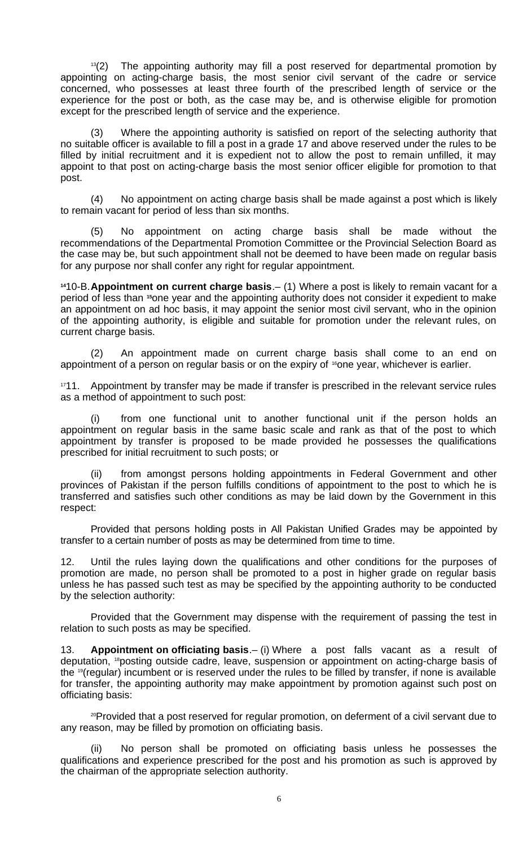$13(2)$  $13(2)$  The appointing authority may fill a post reserved for departmental promotion by appointing on acting-charge basis, the most senior civil servant of the cadre or service concerned, who possesses at least three fourth of the prescribed length of service or the experience for the post or both, as the case may be, and is otherwise eligible for promotion except for the prescribed length of service and the experience.

(3) Where the appointing authority is satisfied on report of the selecting authority that no suitable officer is available to fill a post in a grade 17 and above reserved under the rules to be filled by initial recruitment and it is expedient not to allow the post to remain unfilled, it may appoint to that post on acting-charge basis the most senior officer eligible for promotion to that post.

(4) No appointment on acting charge basis shall be made against a post which is likely to remain vacant for period of less than six months.

(5) No appointment on acting charge basis shall be made without the recommendations of the Departmental Promotion Committee or the Provincial Selection Board as the case may be, but such appointment shall not be deemed to have been made on regular basis for any purpose nor shall confer any right for regular appointment.

<span id="page-5-1"></span>**[14](#page-9-13)**10-B.**Appointment on current charge basis**.– (1) Where a post is likely to remain vacant for a period of less than **[15](#page-9-14)**one year and the appointing authority does not consider it expedient to make an appointment on ad hoc basis, it may appoint the senior most civil servant, who in the opinion of the appointing authority, is eligible and suitable for promotion under the relevant rules, on current charge basis.

(2) An appointment made on current charge basis shall come to an end on appointment of a person on regular basis or on the expiry of <sup>[16](#page-9-15)</sup>one year, whichever is earlier.

 $1711.$  $1711.$  Appointment by transfer may be made if transfer is prescribed in the relevant service rules as a method of appointment to such post:

(i) from one functional unit to another functional unit if the person holds an appointment on regular basis in the same basic scale and rank as that of the post to which appointment by transfer is proposed to be made provided he possesses the qualifications prescribed for initial recruitment to such posts; or

(ii) from amongst persons holding appointments in Federal Government and other provinces of Pakistan if the person fulfills conditions of appointment to the post to which he is transferred and satisfies such other conditions as may be laid down by the Government in this respect:

Provided that persons holding posts in All Pakistan Unified Grades may be appointed by transfer to a certain number of posts as may be determined from time to time.

12. Until the rules laying down the qualifications and other conditions for the purposes of promotion are made, no person shall be promoted to a post in higher grade on regular basis unless he has passed such test as may be specified by the appointing authority to be conducted by the selection authority:

Provided that the Government may dispense with the requirement of passing the test in relation to such posts as may be specified.

<span id="page-5-0"></span>13. **Appointment on officiating basis**.– (i) Where a post falls vacant as a result of deputation, <sup>[18](#page-9-17)</sup>posting outside cadre, leave, suspension or appointment on acting-charge basis of the [19](#page-9-18)(regular) incumbent or is reserved under the rules to be filled by transfer, if none is available for transfer, the appointing authority may make appointment by promotion against such post on officiating basis:

<sup>[20](#page-9-19)</sup>Provided that a post reserved for regular promotion, on deferment of a civil servant due to any reason, may be filled by promotion on officiating basis.

(ii) No person shall be promoted on officiating basis unless he possesses the qualifications and experience prescribed for the post and his promotion as such is approved by the chairman of the appropriate selection authority.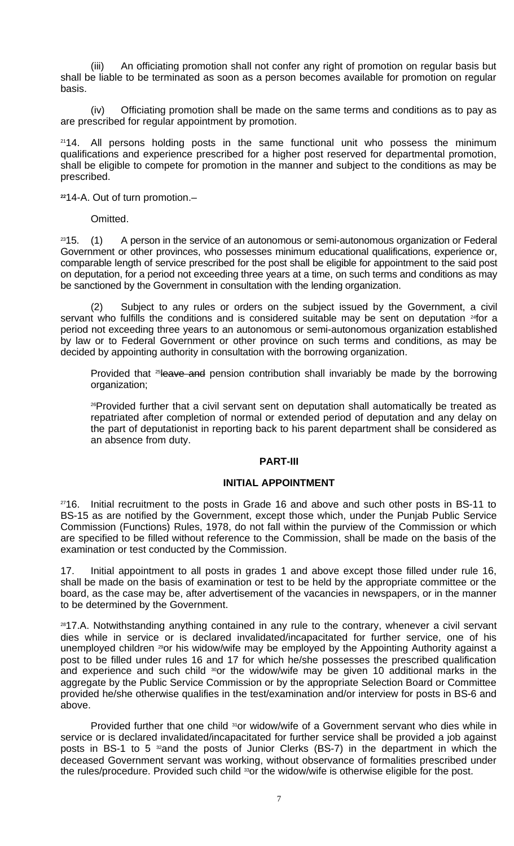(iii) An officiating promotion shall not confer any right of promotion on regular basis but shall be liable to be terminated as soon as a person becomes available for promotion on regular basis.

(iv) Officiating promotion shall be made on the same terms and conditions as to pay as are prescribed for regular appointment by promotion.

 $2114$  $2114$ . All persons holding posts in the same functional unit who possess the minimum qualifications and experience prescribed for a higher post reserved for departmental promotion, shall be eligible to compete for promotion in the manner and subject to the conditions as may be prescribed.

**[22](#page-9-21)**14-A. Out of turn promotion.–

Omitted.

 $2315.$  $2315.$  (1) A person in the service of an autonomous or semi-autonomous organization or Federal Government or other provinces, who possesses minimum educational qualifications, experience or, comparable length of service prescribed for the post shall be eligible for appointment to the said post on deputation, for a period not exceeding three years at a time, on such terms and conditions as may be sanctioned by the Government in consultation with the lending organization.

(2) Subject to any rules or orders on the subject issued by the Government, a civil servant who fulfills the conditions and is considered suitable may be sent on deputation  $24$ for a period not exceeding three years to an autonomous or semi-autonomous organization established by law or to Federal Government or other province on such terms and conditions, as may be decided by appointing authority in consultation with the borrowing organization.

Provided that <sup>[25](#page-9-24)</sup>leave and pension contribution shall invariably be made by the borrowing organization;

<sup>[26](#page-9-25)</sup>Provided further that a civil servant sent on deputation shall automatically be treated as repatriated after completion of normal or extended period of deputation and any delay on the part of deputationist in reporting back to his parent department shall be considered as an absence from duty.

### **PART-III**

# **INITIAL APPOINTMENT**

<span id="page-6-1"></span> $2716$  $2716$ . Initial recruitment to the posts in Grade 16 and above and such other posts in BS-11 to BS-15 as are notified by the Government, except those which, under the Punjab Public Service Commission (Functions) Rules, 1978, do not fall within the purview of the Commission or which are specified to be filled without reference to the Commission, shall be made on the basis of the examination or test conducted by the Commission.

17. Initial appointment to all posts in grades 1 and above except those filled under rule 16, shall be made on the basis of examination or test to be held by the appropriate committee or the board, as the case may be, after advertisement of the vacancies in newspapers, or in the manner to be determined by the Government.

<span id="page-6-0"></span><sup>[28](#page-9-27)</sup>17.A. Notwithstanding anything contained in any rule to the contrary, whenever a civil servant dies while in service or is declared invalidated/incapacitated for further service, one of his unemployed children <sup>[29](#page-9-28)</sup>or his widow/wife may be employed by the Appointing Authority against a post to be filled under rules 16 and 17 for which he/she possesses the prescribed qualification and experience and such child  $30$ or the widow/wife may be given 10 additional marks in the aggregate by the Public Service Commission or by the appropriate Selection Board or Committee provided he/she otherwise qualifies in the test/examination and/or interview for posts in BS-6 and above.

Provided further that one child <sup>[31](#page-9-30)</sup>or widow/wife of a Government servant who dies while in service or is declared invalidated/incapacitated for further service shall be provided a job against posts in BS-1 to 5 <sup>[32](#page-9-31)</sup>and the posts of Junior Clerks (BS-7) in the department in which the deceased Government servant was working, without observance of formalities prescribed under the rules/procedure. Provided such child <sup>[33](#page-9-32)</sup>or the widow/wife is otherwise eligible for the post.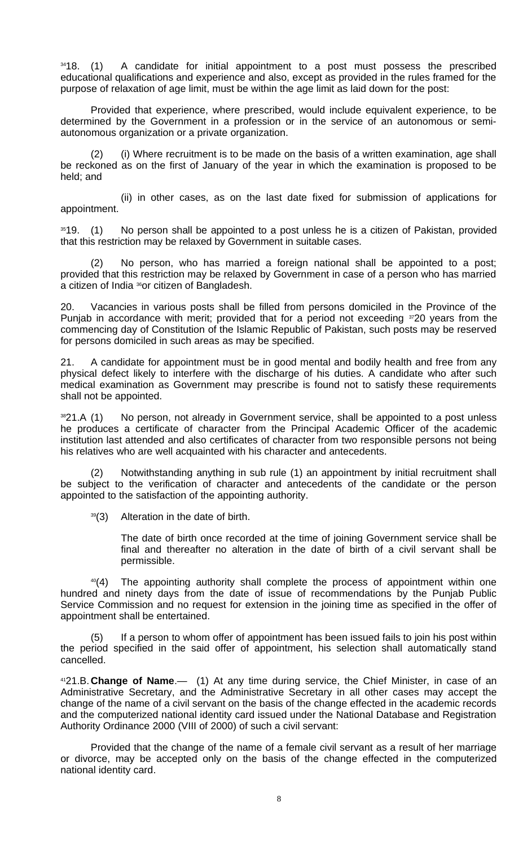<span id="page-7-2"></span>[34](#page-9-33)18. (1) A candidate for initial appointment to a post must possess the prescribed educational qualifications and experience and also, except as provided in the rules framed for the purpose of relaxation of age limit, must be within the age limit as laid down for the post:

Provided that experience, where prescribed, would include equivalent experience, to be determined by the Government in a profession or in the service of an autonomous or semiautonomous organization or a private organization.

(i) Where recruitment is to be made on the basis of a written examination, age shall be reckoned as on the first of January of the year in which the examination is proposed to be held; and

(ii) in other cases, as on the last date fixed for submission of applications for appointment.

<sup>[35](#page-9-34)</sup>19. (1) No person shall be appointed to a post unless he is a citizen of Pakistan, provided that this restriction may be relaxed by Government in suitable cases.

(2) No person, who has married a foreign national shall be appointed to a post; provided that this restriction may be relaxed by Government in case of a person who has married a citizen of India <sup>[36](#page-9-35)</sup>or citizen of Bangladesh.

20. Vacancies in various posts shall be filled from persons domiciled in the Province of the Punjab in accordance with merit; provided that for a period not exceeding [37](#page-9-36)20 years from the commencing day of Constitution of the Islamic Republic of Pakistan, such posts may be reserved for persons domiciled in such areas as may be specified.

21. A candidate for appointment must be in good mental and bodily health and free from any physical defect likely to interfere with the discharge of his duties. A candidate who after such medical examination as Government may prescribe is found not to satisfy these requirements shall not be appointed.

<span id="page-7-1"></span> $3821.A$  $3821.A$  (1) No person, not already in Government service, shall be appointed to a post unless he produces a certificate of character from the Principal Academic Officer of the academic institution last attended and also certificates of character from two responsible persons not being his relatives who are well acquainted with his character and antecedents.

(2) Notwithstanding anything in sub rule (1) an appointment by initial recruitment shall be subject to the verification of character and antecedents of the candidate or the person appointed to the satisfaction of the appointing authority.

 $39(3)$  $39(3)$  Alteration in the date of birth.

The date of birth once recorded at the time of joining Government service shall be final and thereafter no alteration in the date of birth of a civil servant shall be permissible.

<span id="page-7-0"></span> $40(4)$  $40(4)$  The appointing authority shall complete the process of appointment within one hundred and ninety days from the date of issue of recommendations by the Punjab Public Service Commission and no request for extension in the joining time as specified in the offer of appointment shall be entertained.

(5) If a person to whom offer of appointment has been issued fails to join his post within the period specified in the said offer of appointment, his selection shall automatically stand cancelled.

[41](#page-9-40)21.B.**Change of Name**.— (1) At any time during service, the Chief Minister, in case of an Administrative Secretary, and the Administrative Secretary in all other cases may accept the change of the name of a civil servant on the basis of the change effected in the academic records and the computerized national identity card issued under the National Database and Registration Authority Ordinance 2000 (VIII of 2000) of such a civil servant:

Provided that the change of the name of a female civil servant as a result of her marriage or divorce, may be accepted only on the basis of the change effected in the computerized national identity card.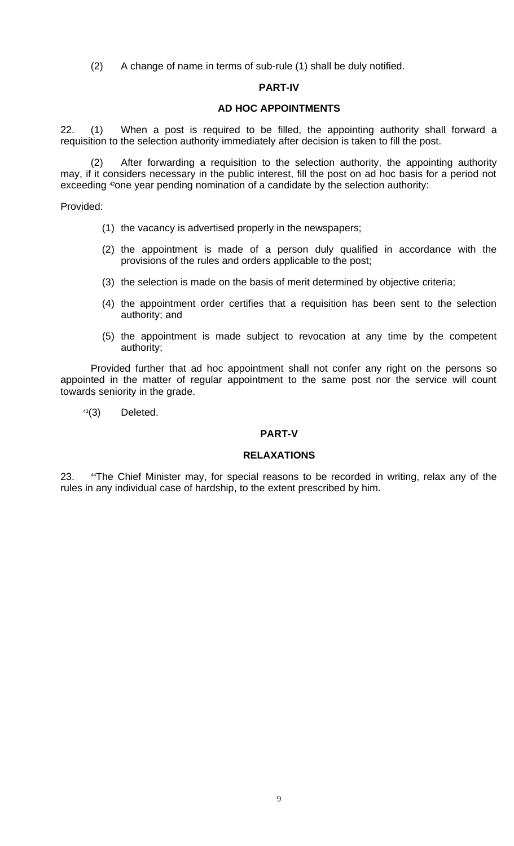(2) A change of name in terms of sub-rule (1) shall be duly notified.

### **PART-IV**

## **AD HOC APPOINTMENTS**

<span id="page-8-0"></span>22. (1) When a post is required to be filled, the appointing authority shall forward a requisition to the selection authority immediately after decision is taken to fill the post.

(2) After forwarding a requisition to the selection authority, the appointing authority may, if it considers necessary in the public interest, fill the post on ad hoc basis for a period not exceeding <sup>[42](#page-9-41)</sup>one year pending nomination of a candidate by the selection authority:

Provided:

- (1) the vacancy is advertised properly in the newspapers;
- (2) the appointment is made of a person duly qualified in accordance with the provisions of the rules and orders applicable to the post;
- (3) the selection is made on the basis of merit determined by objective criteria;
- (4) the appointment order certifies that a requisition has been sent to the selection authority; and
- (5) the appointment is made subject to revocation at any time by the competent authority;

Provided further that ad hoc appointment shall not confer any right on the persons so appointed in the matter of regular appointment to the same post nor the service will count towards seniority in the grade.

[43](#page-9-42)(3) Deleted.

### **PART-V**

### **RELAXATIONS**

23. <sup>[44](#page-9-43)</sup>The Chief Minister may, for special reasons to be recorded in writing, relax any of the rules in any individual case of hardship, to the extent prescribed by him.